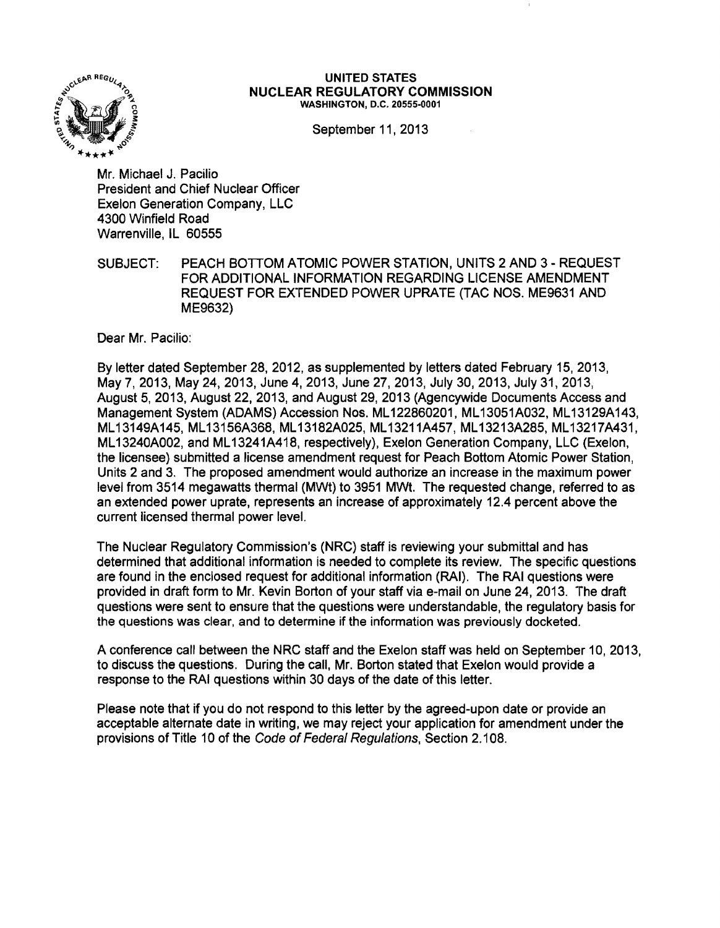

#### **UNITED** STATES **NUCLEAR REGULATORY COMMISSION** WASHINGTON, D.C. 20555·0001

September 11, 2013

Mr. Michael J. Pacilio President and Chief Nuclear Officer Exelon Generation Company, LLC 4300 Winfield Road Warrenville, IL 60555

SUBJECT: PEACH BOTTOM ATOMIC POWER STATION, UNITS 2 AND 3 - REQUEST FOR ADDITIONAL INFORMATION REGARDING LICENSE AMENDMENT REQUEST FOR EXTENDED POWER UPRATE (TAC NOS. ME9631 AND ME9632)

Dear Mr. Pacilio:

By letter dated September 28, 2012, as supplemented by letters dated February 15, 2013, May 7,2013, May 24,2013, June 4,2013, June 27,2013, July 30,2013, July 31,2013, August 5, 2013, August 22, 2013, and August 29, 2013 (Agencywide Documents Access and Management System (ADAMS) Accession Nos. ML 122860201, ML 13051A032, ML 13129A143, ML13149A145, ML13156A368, ML13182A025, ML13211A457, ML13213A285, ML13217A431, ML 13240A002, and ML 13241A418, respectively), Exelon Generation Company, LLC (Exelon, the licensee) submitted a license amendment request for Peach Bottom Atomic Power Station, Units 2 and 3. The proposed amendment would authorize an increase in the maximum power level from 3514 megawatts thermal (MWt) to 3951 MWt. The requested change, referred to as an extended power uprate, represents an increase of approximately 12.4 percent above the current licensed thermal power level.

The Nuclear Regulatory Commission's (NRC) staff is reviewing your submittal and has determined that additional information is needed to complete its review. The specific questions are found in the enclosed request for additional information (RAI). The RAI questions were provided in draft form to Mr. Kevin Borton of your staff via e-mail on June 24, 2013. The draft questions were sent to ensure that the questions were understandable, the regulatory basis for the questions was clear, and to determine if the information was previously docketed.

A conference call between the NRC staff and the Exelon staff was held on September 10, 2013, to discuss the questions. During the call, Mr. Borton stated that Exelon would provide a response to the RAI questions within 30 days of the date of this letter.

Please note that if you do not respond to this letter by the agreed-upon date or provide an acceptable alternate date in writing, we may reject your application for amendment under the provisions of Title 10 of the Code of Federal Regulations, Section 2.108.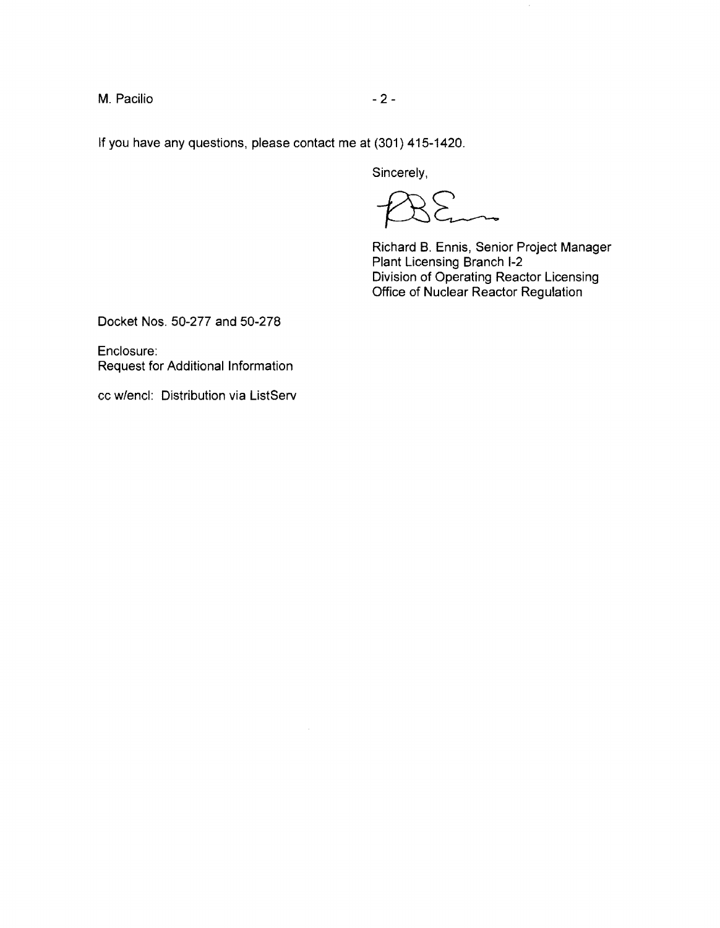M. Pacilio - 2

If you have any questions, please contact me at (301) 415-1420.

Sincerely,

 $\overline{\phantom{a}}$ 

Richard B. Ennis, Senior Project Manager Plant Licensing Branch I-2 Division of Operating Reactor licensing Office of Nuclear Reactor Regulation

Docket Nos. 50-277 and 50-278

Enclosure: Request for Additional Information

cc w/encl: Distribution via ListServ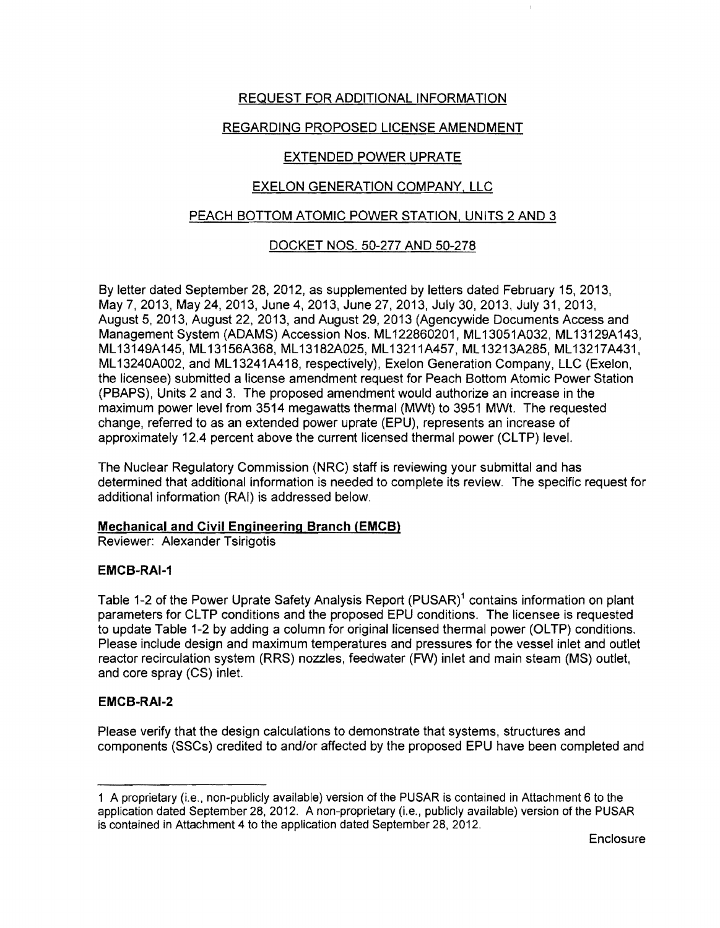# REQUEST FOR ADDITIONAL INFORMATION

# REGARDING PROPOSED LICENSE AMENDMENT

# EXTENDED POWER UPRATE

# EXELON GENERATION COMPANY, LLC

# PEACH BOTTOM ATOMIC POWER STATION, UNITS 2 AND 3

# DOCKET NOS. 50-277 AND 50-278

By letter dated September 28, 2012, as supplemented by letters dated February 15, 2013, May 7,2013, May 24,2013, June 4,2013, June 27,2013, July 30,2013, July 31,2013, August 5,2013, August 22,2013, and August 29,2013 (Agencywide Documents Access and Management System (ADAMS) Accession Nos. ML 122860201, ML 13051A032, ML 13129A143, ML13149A145, ML13156A368, ML13182A025, ML13211A457, ML13213A285, ML13217A431, ML 13240A002, and ML 13241A418, respectively), Exelon Generation Company, LLC (Exelon, the licensee) submitted a license amendment request for Peach Bottom Atomic Power Station (PBAPS), Units 2 and 3. The proposed amendment would authorize an increase in the maximum power level from 3514 megawatts thermal (MWt) to 3951 MWt. The requested change, referred to as an extended power uprate (EPU), represents an increase of approximately 12.4 percent above the current licensed thermal power (CLTP) level.

The Nuclear Regulatory Commission (NRC) staff is reviewing your submittal and has determined that additional information is needed to complete its review. The specific request for additional information (RAI) is addressed below.

# Mechanical and Civil Engineering Branch (EMCB)

Reviewer: Alexander Tsirigotis

### EMCB-RAI-1

Table 1-2 of the Power Uprate Safety Analysis Report (PUSAR)<sup>1</sup> contains information on plant parameters for CL TP conditions and the proposed EPU conditions. The licensee is requested to update Table 1-2 by adding a column for original licensed thermal power (OLTP) conditions. Please include design and maximum temperatures and pressures for the vessel inlet and outlet reactor recirculation system (RRS) nozzles, feedwater (FW) inlet and main steam (MS) outlet, and core spray (CS) inlet.

### EMCB-RAI-2

Please verify that the design calculations to demonstrate that systems, structures and components (SSCs) credited to and/or affected by the proposed EPU have been completed and

<sup>1</sup> A proprietary (i.e., non-publicly available) version of the PUSAR is contained in Attachment 6 to the application dated September 28.2012. A non-proprietary (Le., publicly available) version of the PUSAR is contained in Attachment 4 to the application dated September 28. 2012.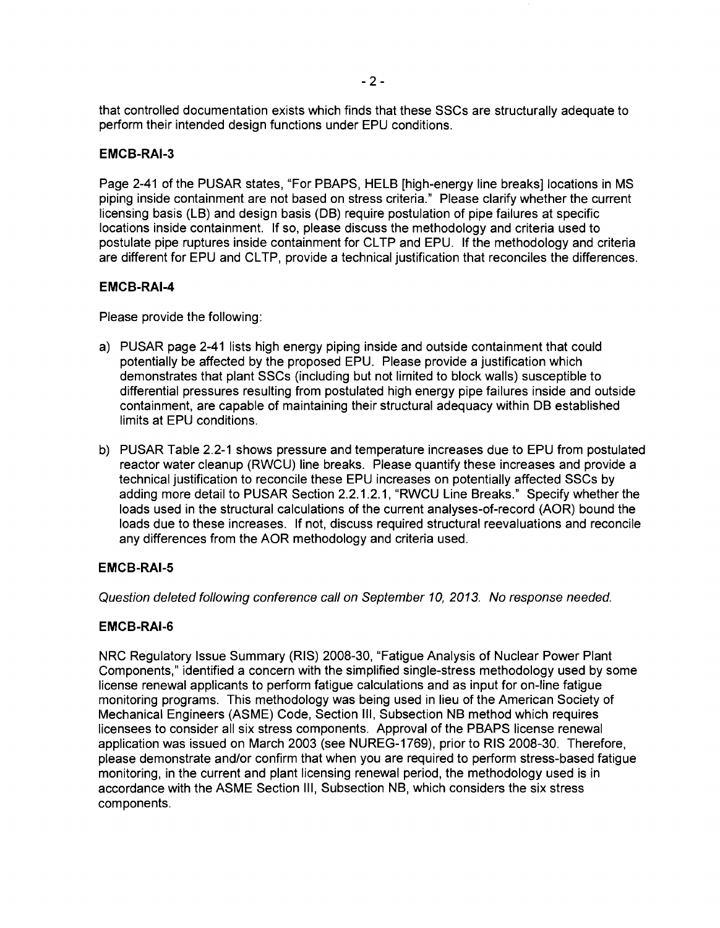that controlled documentation exists which finds that these SSCs are structurally adequate to perform their intended design functions under EPU conditions.

### EMCB-RAI-3

Page 2-41 of the PUSAR states, "For PBAPS, HELB [high-energy line breaks] locations in MS piping inside containment are not based on stress criteria." Please clarify whether the current licensing basis (LB) and design basis (DB) require postulation of pipe failures at specific locations inside containment. If so, please discuss the methodology and criteria used to postulate pipe ruptures inside containment for CLTP and EPU. If the methodology and criteria are different for EPU and CLTP, provide a technical justification that reconciles the differences.

### EMCB-RAI-4

Please provide the following:

- a) PUSAR page 2-41 lists high energy piping inside and outside containment that could potentially be affected by the proposed EPU. Please provide a justification which demonstrates that plant SSCs (including but not limited to block walls) susceptible to differential pressures resulting from postulated high energy pipe failures inside and outside containment, are capable of maintaining their structural adequacy within DB established limits at EPU conditions.
- b) PUSAR Table 2.2-1 shows pressure and temperature increases due to EPU from postulated reactor water cleanup (RWCU) line breaks. Please quantify these increases and provide a technical justification to reconcile these EPU increases on potentially affected SSCs by adding more detail to PUSAR Section 2.2.1.2.1, "RWCU Line Breaks." Specify whether the loads used in the structural calculations of the current analyses-of-record (AOR) bound the loads due to these increases. If not, discuss required structural reevaluations and reconcile any differences from the AOR methodology and criteria used.

### EMCB-RAI-5

Question deleted following conference call on September 10,2013. No response needed.

# EMCB-RAI-6

NRC Regulatory Issue Summary (RIS) 2008-30, "Fatigue Analysis of Nuclear Power Plant Components," identified a concern with the simplified single-stress methodology used by some license renewal applicants to perform fatigue calculations and as input for on-line fatigue monitoring programs. This methodology was being used in lieu of the American Society of Mechanical Engineers (ASME) Code, Section III, Subsection NB method which requires licensees to consider all six stress components. Approval of the PBAPS license renewal application was issued on March 2003 (see NUREG-1769), prior to RIS 2008-30. Therefore, please demonstrate and/or confirm that when you are required to perform stress-based fatigue monitoring, in the current and plant licensing renewal period, the methodology used is in accordance with the ASME Section III, Subsection NB, which considers the six stress components.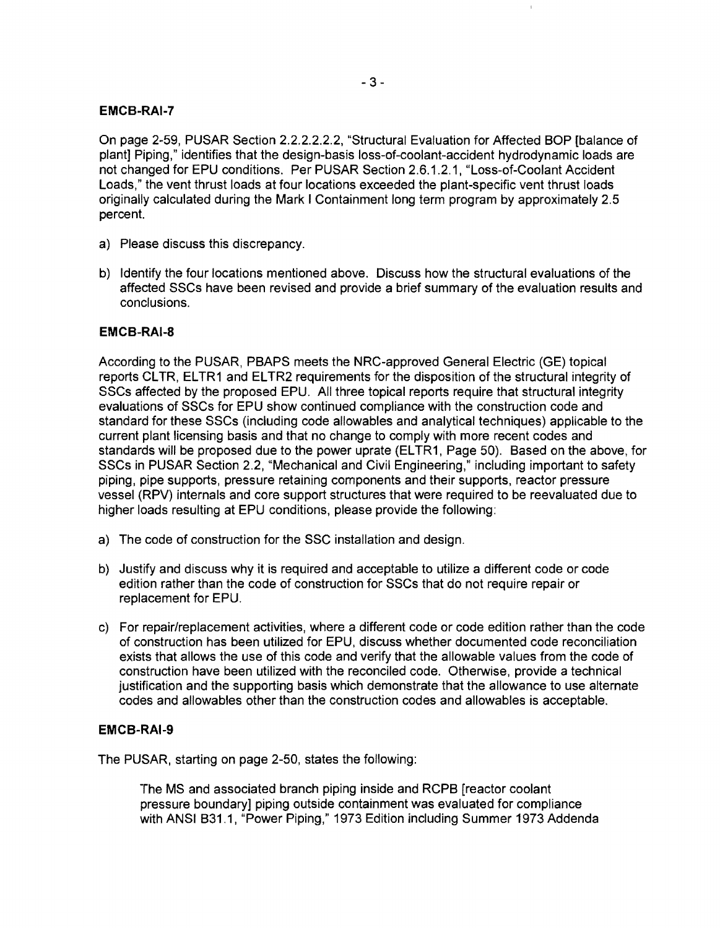### **EMCB-RAI-7**

On page 2-59, PUSAR Section 2.2.2.2.2.2, "Structural Evaluation for Affected BOP [balance of plant] Piping," identifies that the design-basis loss-of-coolant-accident hydrodynamic loads are not changed for EPU conditions. Per PUSAR Section 2.6.1.2.1, "Loss-of-Coolant Accident Loads," the vent thrust loads at four locations exceeded the plant-specific vent thrust loads originally calculated during the Mark I Containment long term program by approximately 2.5 percent.

- a) Please discuss this discrepancy.
- b) Identify the four locations mentioned above. Discuss how the structural evaluations of the affected SSCs have been revised and provide a brief summary of the evaluation results and conclusions.

### **EMCB-RAI-8**

According to the PUSAR, PBAPS meets the NRC-approved General Electric (GE) topical reports CLTR, ELTR1 and ELTR2 requirements for the disposition of the structural integrity of SSCs affected by the proposed EPU. All three topical reports require that structural integrity evaluations of SSCs for EPU show continued compliance with the construction code and standard for these SSCs (including code allowables and analytical techniques) applicable to the current plant licensing basis and that no change to comply with more recent codes and standards will be proposed due to the power uprate (ELTR1, Page 50). Based on the above, for SSCs in PUSAR Section 2.2, "Mechanical and Civil Engineering," including important to safety piping, pipe supports, pressure retaining components and their supports, reactor pressure vessel (RPV) internals and core support structures that were required to be reevaluated due to higher loads resulting at EPU conditions, please provide the following:

- a) The code of construction for the SSC installation and design.
- b) Justify and discuss why it is required and acceptable to utilize a different code or code edition rather than the code of construction for SSCs that do not require repair or replacement for EPU.
- c) For repair/replacement activities, where a different code or code edition rather than the code of construction has been utilized for EPU. discuss whether documented code reconciliation exists that allows the use of this code and verify that the allowable values from the code of construction have been utilized with the reconciled code. Otherwise, provide a technical justification and the supporting basis which demonstrate that the allowance to use alternate codes and allowables other than the construction codes and allowables is acceptable.

### **EMCB-RAI-9**

The PUSAR, starting on page 2-50, states the following:

The MS and associated branch piping inside and RCPB [reactor coolant pressure boundary] piping outside containment was evaluated for compliance with ANSI B31.1, "Power Piping," 1973 Edition including Summer 1973 Addenda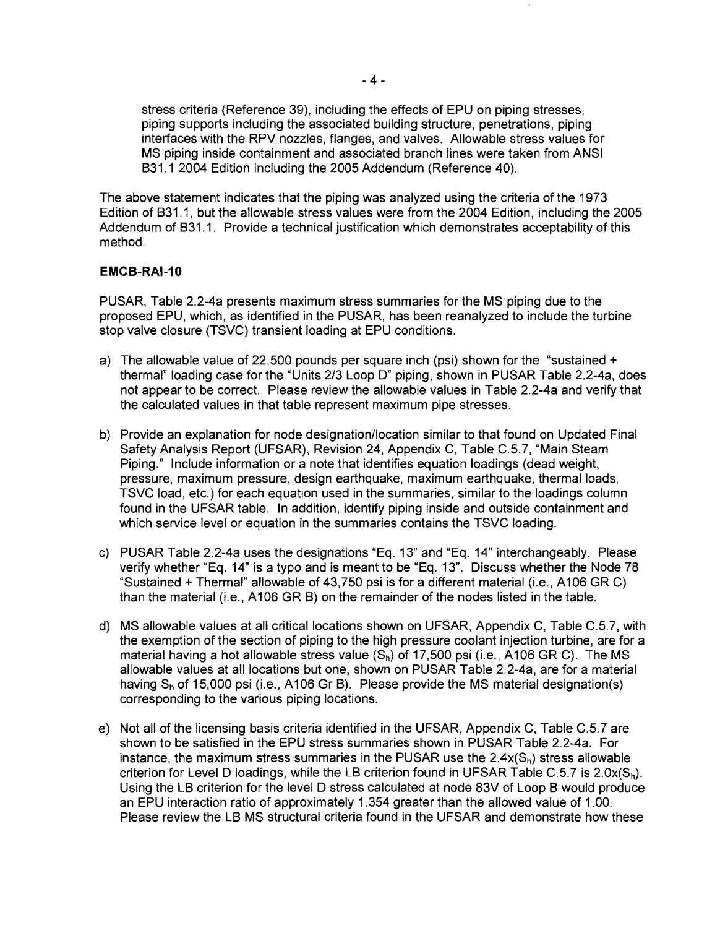stress criteria (Reference 39), including the effects of EPU on piping stresses, piping supports including the associated building structure, penetrations, piping interfaces with the RPV nozzles, flanges, and valves. Allowable stress values for MS piping inside containment and associated branch lines were taken from ANSI B31.1 2004 Edition including the 2005 Addendum (Reference 40).

The above statement indicates that the piping was analyzed using the criteria of the 1973 Edition of B31.1, but the allowable stress values were from the 2004 Edition, including the 2005 Addendum of B31.1. Provide a technical justification which demonstrates acceptability of this method.

### **EMCB-RAI-10**

PUSAR, Table 2.2-4a presents maximum stress summaries for the MS piping due to the proposed EPU, which, as identified in the PUSAR, has been reanalyzed to include the turbine stop valve closure (TSVC) transient loading at EPU conditions.

- a) The allowable value of 22,500 pounds per square inch (psi) shown for the "sustained + thermal" loading case for the "Units 2/3 Loop D" piping, shown in PUSAR Table 2.2-4a, does not appear to be correct. Please review the allowable values in Table 2.2-4a and verify that the calculated values in that table represent maximum pipe stresses.
- b) Provide an explanation for node designation/location similar to that found on Updated Final Safety Analysis Report (UFSAR), Revision 24, Appendix C, Table C.5.7, "Main Steam Piping." Include information or a note that identifies equation loadings (dead weight, pressure, maximum pressure, design earthquake, maximum earthquake, thermal loads, TSVC load, etc.) for each equation used in the summaries, similar to the loadings column found in the UFSAR table. In addition, identify piping inside and outside containment and which service level or equation in the summaries contains the TSVC loading.
- c) PUSAR Table 2.2-4a uses the designations "Eq. 13" and "Eq. 14" interchangeably. Please verify whether "Eq. 14" is a typo and is meant to be "Eq. 13". Discuss whether the Node 78 "Sustained + Thermal" allowable of 43,750 psi is for a different material (i.e., A106 GR C) than the material (i.e., A 106 GR B) on the remainder of the nodes listed in the table.
- d) MS allowable values at all critical locations shown on UFSAR, Appendix C, Table C.5.7, with the exemption of the section of piping to the high pressure coolant injection turbine, are for a material having a hot allowable stress value  $(S_n)$  of 17,500 psi (i.e., A106 GR C). The MS allowable values at all locations but one, shown on PUSAR Table 2.2-4a, are for a material having  $S_h$  of 15,000 psi (i.e., A106 Gr B). Please provide the MS material designation(s) corresponding to the various piping locations.
- e) Not all of the licensing basis criteria identified in the UFSAR, Appendix C, Table C.5.7 are shown to be satisfied in the EPU stress summaries shown in PUSAR Table 2.2-4a. For instance, the maximum stress summaries in the PUSAR use the  $2.4x(S_h)$  stress allowable criterion for Level D loadings, while the LB criterion found in UFSAR Table C.5.7 is  $2.0x(S_h)$ . Using the LB criterion for the level D stress calculated at node 83V of Loop B would produce an EPU interaction ratio of approximately 1.354 greater than the allowed value of 1.00. Please review the LB MS structural criteria found in the UFSAR and demonstrate how these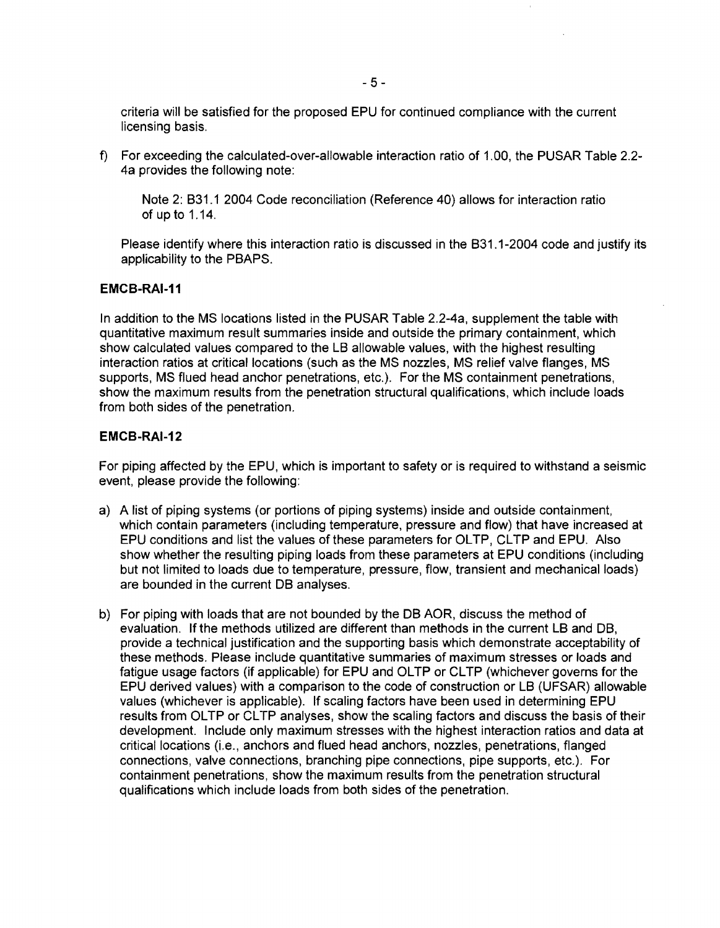criteria will be satisfied for the proposed EPU for continued compliance with the current licensing basis.

f) For exceeding the calculated-over-allowable interaction ratio of 1.00, the PUSAR Table 2.2-4a provides the following note:

Note 2: B31.1 2004 Code reconciliation (Reference 40) allows for interaction ratio of up to 1.14.

Please identify where this interaction ratio is discussed in the B31.1-2004 code and justify its applicability to the PBAPS.

### **EMCB-RAI-11**

In addition to the MS locations listed in the PUSAR Table 2.2-4a, supplement the table with quantitative maximum result summaries inside and outside the primary containment, which show calculated values compared to the LB allowable values, with the highest resulting interaction ratios at critical locations (such as the MS nozzles, MS relief valve flanges, MS supports, MS flued head anchor penetrations, etc.). For the MS containment penetrations, show the maximum results from the penetration structural qualifications, which include loads from both sides of the penetration.

#### **EMCB-RAI-12**

For piping affected by the EPU, which is important to safety or is required to withstand a seismic event, please provide the following:

- a) A list of piping systems (or portions of piping systems) inside and outside containment, which contain parameters (including temperature, pressure and flow) that have increased at EPU conditions and list the values of these parameters for OLTP, CLTP and EPU. Also show whether the resulting piping loads from these parameters at EPU conditions (including but not limited to loads due to temperature, pressure, flow, transient and mechanical loads) are bounded in the current DB analyses.
- b) For piping with loads that are not bounded by the DB AOR, discuss the method of evaluation. If the methods utilized are different than methods in the current LB and DB, provide a technical justification and the supporting basis which demonstrate acceptability of these methods. Please include quantitative summaries of maximum stresses or loads and fatigue usage factors (if applicable) for EPU and OLTP or CLTP (whichever governs for the EPU derived values) with a comparison to the code of construction or LB (UFSAR) allowable values (whichever is applicable). If scaling factors have been used in determining EPU results from OLTP or CLTP analyses, show the scaling factors and discuss the basis of their development. Include only maximum stresses with the highest interaction ratios and data at critical locations (i.e., anchors and flued head anchors, nozzles, penetrations, flanged connections, valve connections, branching pipe connections, pipe supports, etc.). For containment penetrations, show the maximum results from the penetration structural qualifications which include loads from both sides of the penetration.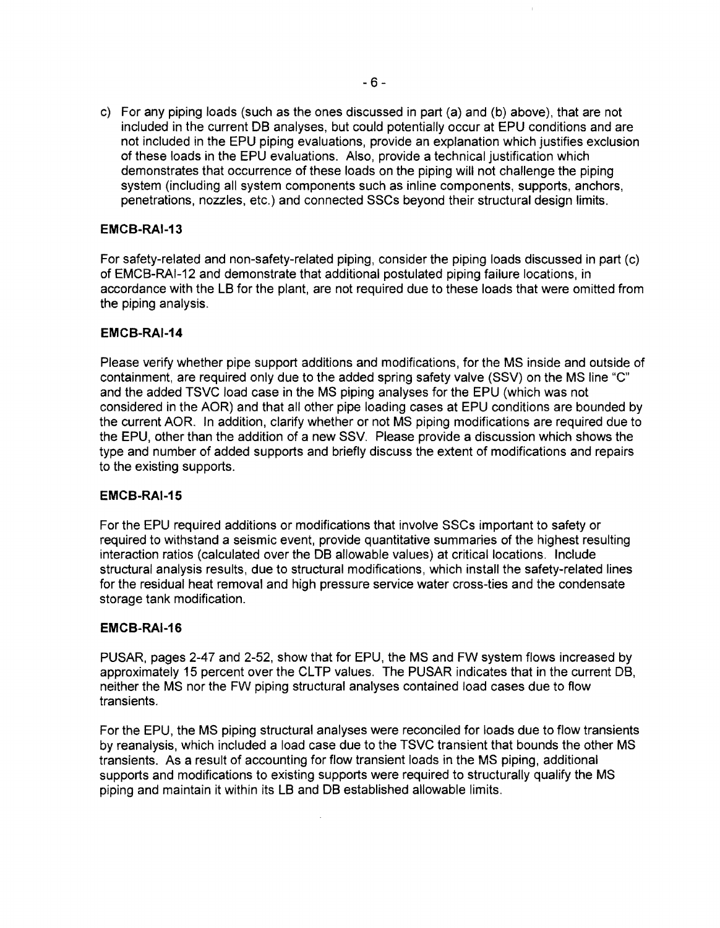c) For any piping loads (such as the ones discussed in part (a) and (b) above), that are not included in the current DB analyses, but could potentially occur at EPU conditions and are not included in the EPU piping evaluations, provide an explanation which justifies exclusion of these loads in the EPU evaluations. Also, provide a technical justification which demonstrates that occurrence of these loads on the piping will not challenge the piping system (including all system components such as inline components, supports, anchors, penetrations, nozzles, etc.) and connected SSCs beyond their structural design limits.

### EMCB-RAI-13

For safety-related and non-safety-related piping, consider the piping loads discussed in part (c) of EMCB-RAI-12 and demonstrate that additional postulated piping failure locations, in accordance with the LB for the plant, are not required due to these loads that were omitted from the piping analysis.

### EMCB-RAI-14

Please verify whether pipe support additions and modifications, for the MS inside and outside of containment, are required only due to the added spring safety valve (SSV) on the MS line "c" and the added TSVC load case in the MS piping analyses for the EPU (which was not considered in the AOR) and that all other pipe loading cases at EPU conditions are bounded by the current AOR. In addition, clarify whether or not MS piping modifications are required due to the EPU, other than the addition of a new SSV. Please provide a discussion which shows the type and number of added supports and briefly discuss the extent of modifications and repairs to the existing supports.

### EMCB-RAI-15

For the EPU required additions or modifications that involve SSCs important to safety or required to withstand a seismic event, provide quantitative summaries of the highest resulting interaction ratios (calculated over the DB allowable values) at critical locations. Include structural analysis results, due to structural modifications, which install the safety-related lines for the residual heat removal and high pressure service water cross-ties and the condensate storage tank modification.

### **EMCB-RAI-16**

PUSAR, pages 2-47 and 2-52, show that for EPU, the MS and FW system flows increased by approximately 15 percent over the CLTP values. The PUSAR indicates that in the current DB, neither the MS nor the FW piping structural analyses contained load cases due to flow transients.

For the EPU, the MS piping structural analyses were reconciled for loads due to flow transients by reanalysis, which included a load case due to the TSVC transient that bounds the other MS transients. As a result of accounting for flow transient loads in the MS piping, additional supports and modifications to existing supports were required to structurally qualify the MS piping and maintain it within its LB and DB established allowable limits.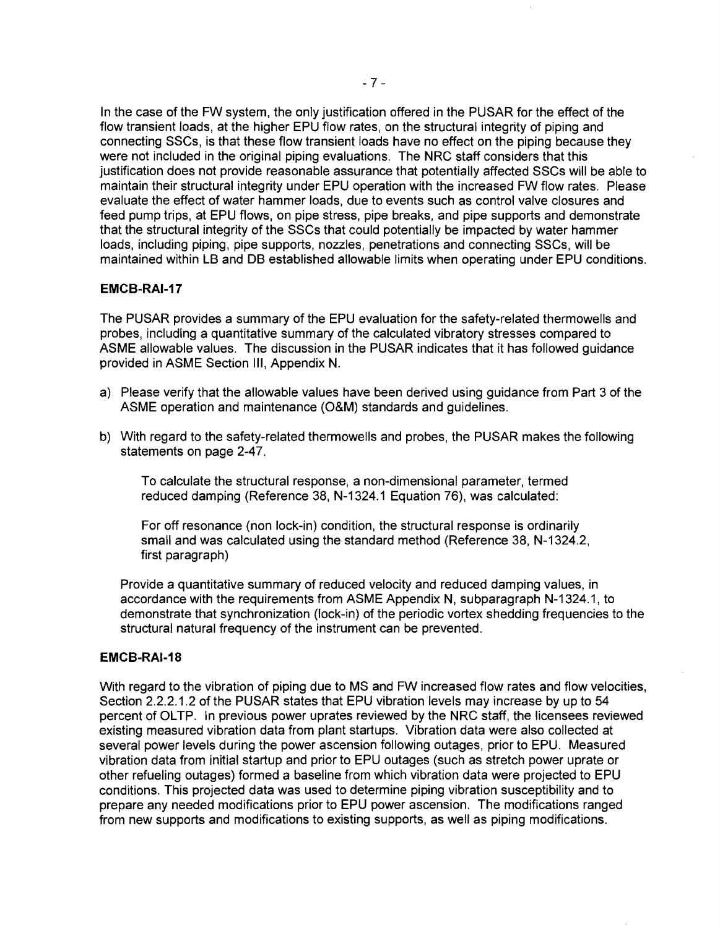In the case of the FW system, the only justification offered in the PU8AR for the effect of the flow transient loads, at the higher EPU flow rates, on the structural integrity of piping and connecting 88Gs, is that these flow transient loads have no effect on the piping because they were not included in the original piping evaluations. The NRG staff considers that this justification does not provide reasonable assurance that potentially affected 88Gs will be able to maintain their structural integrity under EPU operation with the increased FW flow rates. Please evaluate the effect of water hammer loads, due to events such as control valve closures and feed pump trips, at EPU flows, on pipe stress, pipe breaks, and pipe supports and demonstrate that the structural integrity of the 88Gs that could potentially be impacted by water hammer loads, including piping, pipe supports, nozzles, penetrations and connecting 88Gs, will be maintained within LB and DB established allowable limits when operating under EPU conditions.

### **EMCB-RAI-17**

The PU8AR provides a summary of the EPU evaluation for the safety-related thermowells and probes, including a quantitative summary of the calculated Vibratory stresses compared to A8ME allowable values. The discussion in the PU8AR indicates that it has followed guidance provided in A8ME 8ection III, Appendix N.

- a) Please verify that the allowable values have been derived using guidance from Part 3 of the A8ME operation and maintenance (O&M) standards and guidelines.
- b) With regard to the safety-related thermowells and probes, the PUSAR makes the following statements on page 2-47.

To calculate the structural response, a non-dimensional parameter, termed reduced damping (Reference 38, N-1324.1 Equation 76), was calculated:

For off resonance (non lock-in) condition, the structural response is ordinarily small and was calculated using the standard method (Reference 38, N-1324.2, first paragraph)

Provide a quantitative summary of reduced velocity and reduced damping values, in accordance with the requirements from A8ME Appendix N, subparagraph N-1324.1, to demonstrate that synchronization (lock-in) of the periodic vortex shedding frequencies to the structural natural frequency of the instrument can be prevented.

#### **EMCB-RAI-18**

With regard to the vibration of piping due to M8 and FW increased flow rates and flow velocities, Section 2.2.2.1.2 of the PUSAR states that EPU vibration levels may increase by up to 54 percent of OLTP. In previous power uprates reviewed by the NRG staff, the licensees reviewed existing measured vibration data from plant startups. Vibration data were also collected at several power levels during the power ascension following outages, prior to EPU. Measured vibration data from initial startup and prior to EPU outages (such as stretch power uprate or other refueling outages) formed a baseline from which vibration data were projected to EPU conditions. This projected data was used to determine piping vibration susceptibility and to prepare any needed modifications prior to EPU power ascension. The modifications ranged from new supports and modifications to existing supports, as well as piping modifications.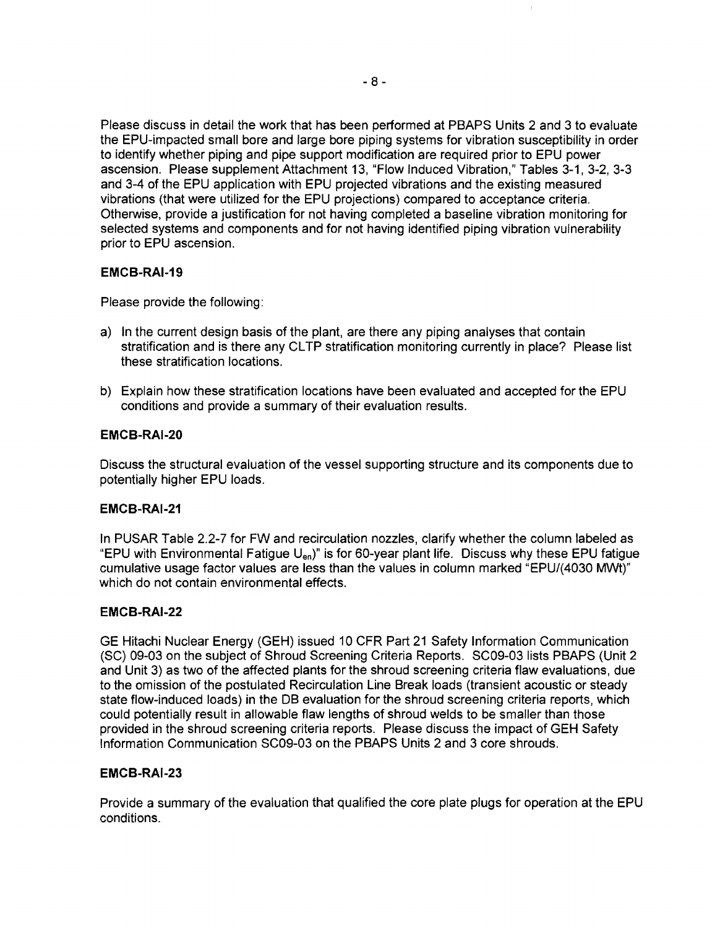Please discuss in detail the work that has been performed at PBAPS Units 2 and 3 to evaluate the EPU-impacted small bore and large bore piping systems for vibration susceptibility in order to identify whether piping and pipe support modification are required prior to EPU power ascension. Please supplement Attachment 13, "Flow Induced Vibration," Tables 3-1, 3-2, 3-3 and 3-4 of the EPU application with EPU projected vibrations and the existing measured vibrations (that were utilized for the EPU projections) compared to acceptance criteria. Otherwise, provide a justification for not having completed a baseline vibration monitoring for selected systems and components and for not having identified piping vibration vulnerability prior to EPU ascension.

### **EMCB-RAI-19**

Please provide the following:

- a) In the current design basis of the plant, are there any piping analyses that contain stratification and is there any CLTP stratification monitoring currently in place? Please list these stratification locations.
- b) Explain how these stratification locations have been evaluated and accepted for the EPU conditions and provide a summary of their evaluation results.

# **EMCB-RAI-20**

Discuss the structural evaluation of the vessel supporting structure and its components due to potentially higher EPU loads.

### **EMCB-RAI-21**

In PUSAR Table 2.2-7 for FW and recirculation nozzles, clarify whether the column labeled as "EPU with Environmental Fatigue U<sub>en</sub>)" is for 60-year plant life. Discuss why these EPU fatigue cumulative usage factor values are less than the values in column marked "EPU/(4030 MWt)" which do not contain environmental effects.

### **EMCB-RAI-22**

GE Hitachi Nuclear Energy (GEH) issued 10 CFR Part 21 Safety Information Communication (SC) 09-03 on the subject of Shroud Screening Criteria Reports. SC09-03 lists PBAPS (Unit 2 and Unit 3) as two of the affected plants for the shroud screening criteria flaw evaluations, due to the omission of the postulated Recirculation Line Break loads (transient acoustic or steady state flow-induced loads) in the DB evaluation for the shroud screening criteria reports, which could potentially result in allowable flaw lengths of shroud welds to be smaller than those provided in the shroud screening criteria reports. Please discuss the impact of GEH Safety Information Communication SC09-03 on the PBAPS Units 2 and 3 core shrouds.

# **EMCB-RAI-23**

Provide a summary of the evaluation that qualified the core plate plugs for operation at the EPU conditions.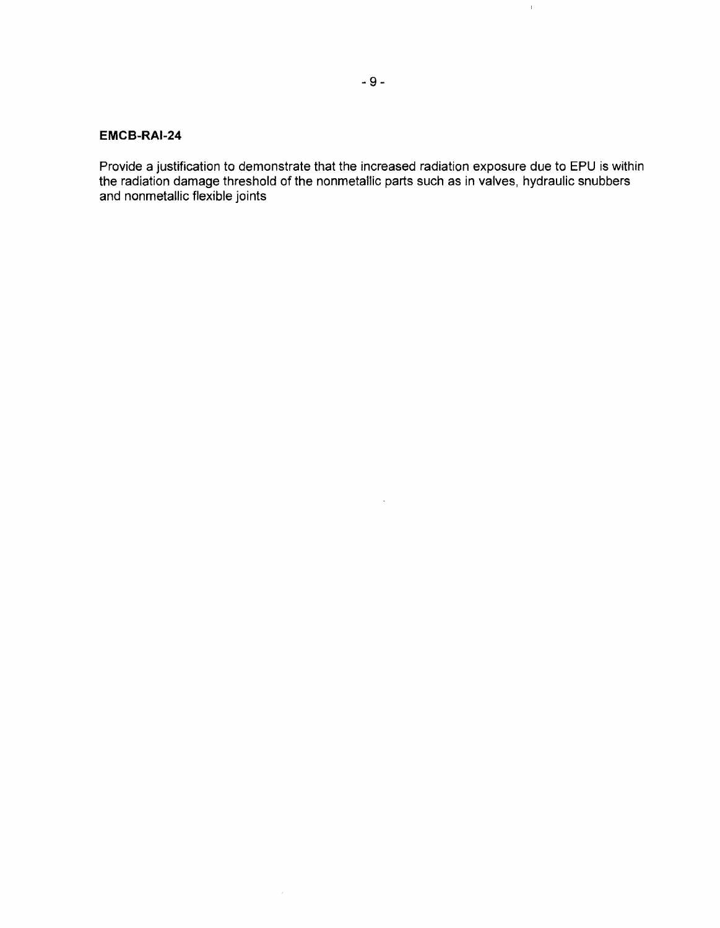### **EMC8-RAI-24**

Provide a justification to demonstrate that the increased radiation exposure due to EPU is within the radiation damage threshold of the nonmetallic parts such as in valves, hydraulic snubbers and nonmetallic flexible joints

 $\mathcal{A}$ 

 $\bar{Y}$